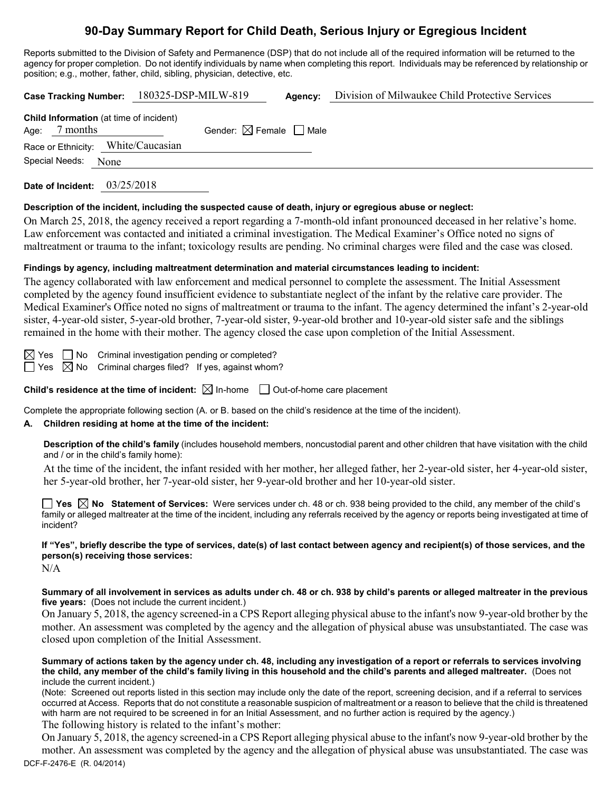# **90-Day Summary Report for Child Death, Serious Injury or Egregious Incident**

Reports submitted to the Division of Safety and Permanence (DSP) that do not include all of the required information will be returned to the agency for proper completion. Do not identify individuals by name when completing this report. Individuals may be referenced by relationship or position; e.g., mother, father, child, sibling, physician, detective, etc.

|                                                            |      | Case Tracking Number: 180325-DSP-MILW-819 |                                        | Agency: | Division of Milwaukee Child Protective Services |  |  |
|------------------------------------------------------------|------|-------------------------------------------|----------------------------------------|---------|-------------------------------------------------|--|--|
| Child Information (at time of incident)<br>Age: $7$ months |      |                                           | Gender: $\boxtimes$ Female $\Box$ Male |         |                                                 |  |  |
| Race or Ethnicity: White/Caucasian                         |      |                                           |                                        |         |                                                 |  |  |
| Special Needs:                                             | None |                                           |                                        |         |                                                 |  |  |
|                                                            |      |                                           |                                        |         |                                                 |  |  |

**Date of Incident:** 03/25/2018

#### **Description of the incident, including the suspected cause of death, injury or egregious abuse or neglect:**

On March 25, 2018, the agency received a report regarding a 7-month-old infant pronounced deceased in her relative's home. Law enforcement was contacted and initiated a criminal investigation. The Medical Examiner's Office noted no signs of maltreatment or trauma to the infant; toxicology results are pending. No criminal charges were filed and the case was closed.

#### **Findings by agency, including maltreatment determination and material circumstances leading to incident:**

The agency collaborated with law enforcement and medical personnel to complete the assessment. The Initial Assessment completed by the agency found insufficient evidence to substantiate neglect of the infant by the relative care provider. The Medical Examiner's Office noted no signs of maltreatment or trauma to the infant. The agency determined the infant's 2-year-old sister, 4-year-old sister, 5-year-old brother, 7-year-old sister, 9-year-old brother and 10-year-old sister safe and the siblings remained in the home with their mother. The agency closed the case upon completion of the Initial Assessment.

 $\boxtimes$  Yes  $\Box$  No Criminal investigation pending or completed?  $\Box$  Yes  $\boxtimes$  No Criminal charges filed? If yes, against whom?

**Child's residence at the time of incident:**  $\boxtimes$  In-home  $\Box$  Out-of-home care placement

Complete the appropriate following section (A. or B. based on the child's residence at the time of the incident).

### **A. Children residing at home at the time of the incident:**

**Description of the child's family** (includes household members, noncustodial parent and other children that have visitation with the child and / or in the child's family home):

At the time of the incident, the infant resided with her mother, her alleged father, her 2-year-old sister, her 4-year-old sister, her 5-year-old brother, her 7-year-old sister, her 9-year-old brother and her 10-year-old sister.

**Yes No Statement of Services:** Were services under ch. 48 or ch. 938 being provided to the child, any member of the child's family or alleged maltreater at the time of the incident, including any referrals received by the agency or reports being investigated at time of incident?

**If "Yes", briefly describe the type of services, date(s) of last contact between agency and recipient(s) of those services, and the person(s) receiving those services:**

N/A

**Summary of all involvement in services as adults under ch. 48 or ch. 938 by child's parents or alleged maltreater in the previous five years:** (Does not include the current incident.)

On January 5, 2018, the agency screened-in a CPS Report alleging physical abuse to the infant's now 9-year-old brother by the mother. An assessment was completed by the agency and the allegation of physical abuse was unsubstantiated. The case was closed upon completion of the Initial Assessment.

**Summary of actions taken by the agency under ch. 48, including any investigation of a report or referrals to services involving the child, any member of the child's family living in this household and the child's parents and alleged maltreater.** (Does not include the current incident.)

(Note: Screened out reports listed in this section may include only the date of the report, screening decision, and if a referral to services occurred at Access. Reports that do not constitute a reasonable suspicion of maltreatment or a reason to believe that the child is threatened with harm are not required to be screened in for an Initial Assessment, and no further action is required by the agency.) The following history is related to the infant's mother:

DCF-F-2476-E (R. 04/2014) On January 5, 2018, the agency screened-in a CPS Report alleging physical abuse to the infant's now 9-year-old brother by the mother. An assessment was completed by the agency and the allegation of physical abuse was unsubstantiated. The case was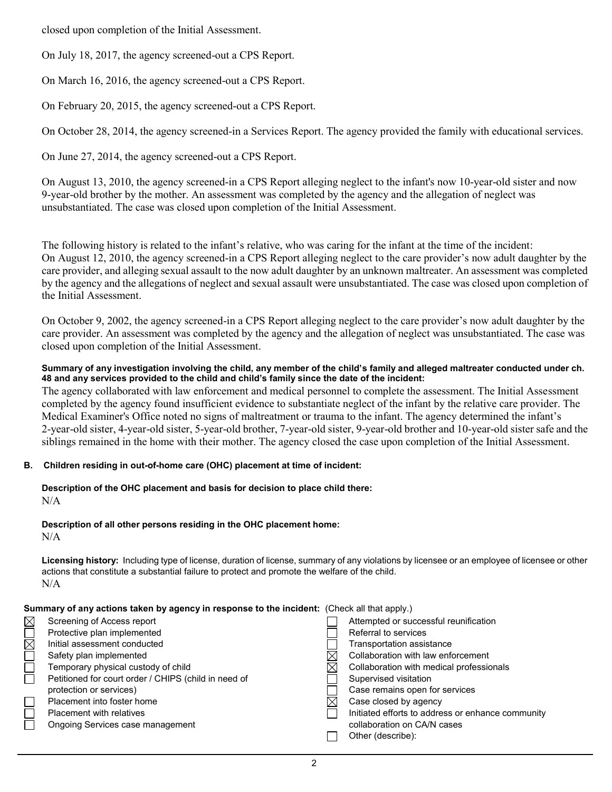closed upon completion of the Initial Assessment.

On July 18, 2017, the agency screened-out a CPS Report.

On March 16, 2016, the agency screened-out a CPS Report.

On February 20, 2015, the agency screened-out a CPS Report.

On October 28, 2014, the agency screened-in a Services Report. The agency provided the family with educational services.

On June 27, 2014, the agency screened-out a CPS Report.

On August 13, 2010, the agency screened-in a CPS Report alleging neglect to the infant's now 10-year-old sister and now 9-year-old brother by the mother. An assessment was completed by the agency and the allegation of neglect was unsubstantiated. The case was closed upon completion of the Initial Assessment.

The following history is related to the infant's relative, who was caring for the infant at the time of the incident: On August 12, 2010, the agency screened-in a CPS Report alleging neglect to the care provider's now adult daughter by the care provider, and alleging sexual assault to the now adult daughter by an unknown maltreater. An assessment was completed by the agency and the allegations of neglect and sexual assault were unsubstantiated. The case was closed upon completion of the Initial Assessment.

On October 9, 2002, the agency screened-in a CPS Report alleging neglect to the care provider's now adult daughter by the care provider. An assessment was completed by the agency and the allegation of neglect was unsubstantiated. The case was closed upon completion of the Initial Assessment.

**Summary of any investigation involving the child, any member of the child's family and alleged maltreater conducted under ch. 48 and any services provided to the child and child's family since the date of the incident:**

The agency collaborated with law enforcement and medical personnel to complete the assessment. The Initial Assessment completed by the agency found insufficient evidence to substantiate neglect of the infant by the relative care provider. The Medical Examiner's Office noted no signs of maltreatment or trauma to the infant. The agency determined the infant's 2-year-old sister, 4-year-old sister, 5-year-old brother, 7-year-old sister, 9-year-old brother and 10-year-old sister safe and the siblings remained in the home with their mother. The agency closed the case upon completion of the Initial Assessment.

#### **B. Children residing in out-of-home care (OHC) placement at time of incident:**

**Description of the OHC placement and basis for decision to place child there:** N/A

## **Description of all other persons residing in the OHC placement home:**

N/A

**Licensing history:** Including type of license, duration of license, summary of any violations by licensee or an employee of licensee or other actions that constitute a substantial failure to protect and promote the welfare of the child. N/A

#### **Summary of any actions taken by agency in response to the incident:** (Check all that apply.)

| Screening of Access report                           | Attempted or successful reunification             |
|------------------------------------------------------|---------------------------------------------------|
| Protective plan implemented                          | Referral to services                              |
| Initial assessment conducted                         | Transportation assistance                         |
| Safety plan implemented                              | Collaboration with law enforcement                |
| Temporary physical custody of child                  | Collaboration with medical professionals          |
| Petitioned for court order / CHIPS (child in need of | Supervised visitation                             |
| protection or services)                              | Case remains open for services                    |
| Placement into foster home                           | Case closed by agency                             |
| <b>Placement with relatives</b>                      | Initiated efforts to address or enhance community |
| Ongoing Services case management                     | collaboration on CA/N cases                       |
|                                                      | Other (describe):                                 |